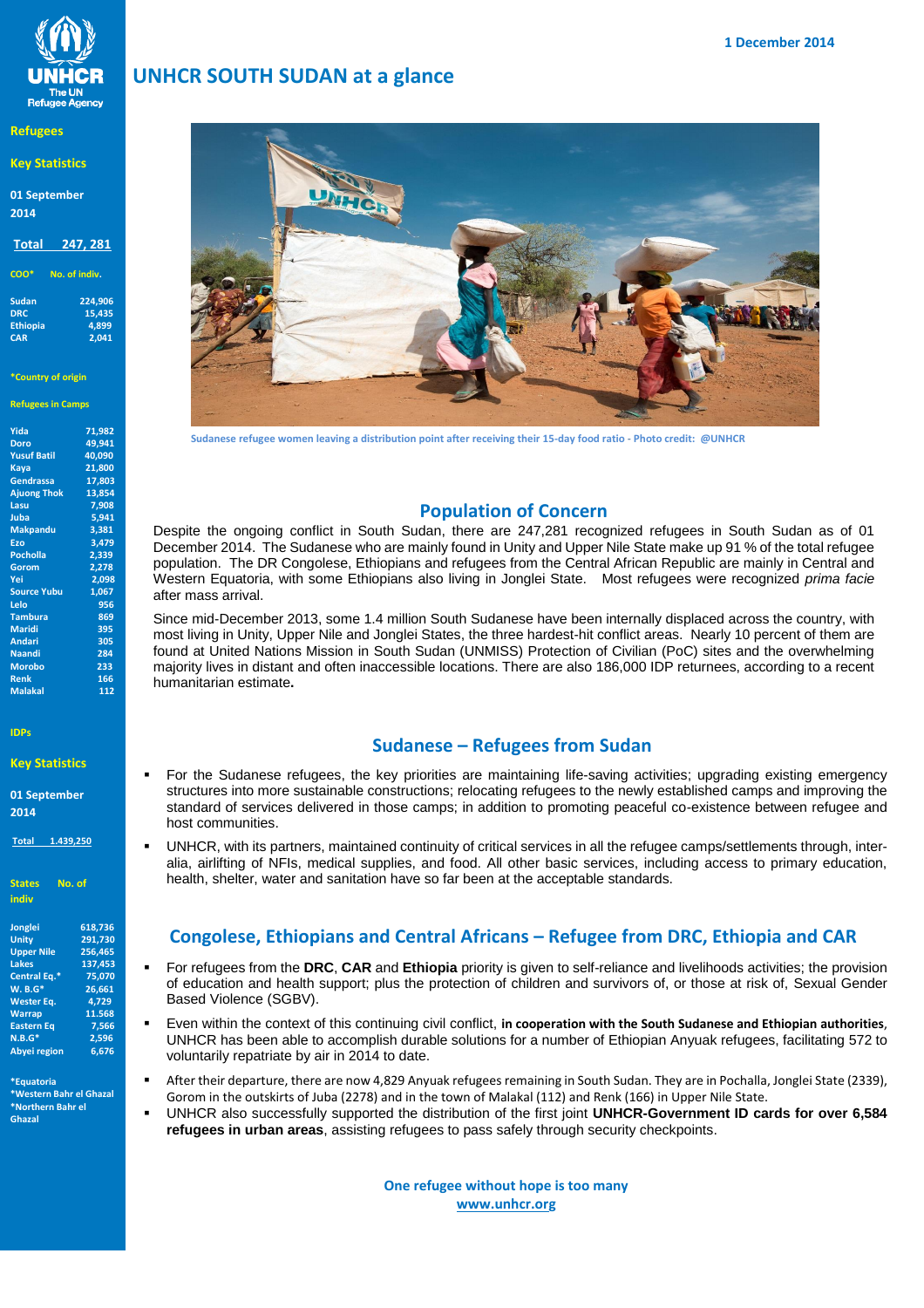

### **Refugees**

## **Key Statistics**

**01 September 2014**

## **Total 247, 281**

**COO\* No. of indiv.**

| 224,906 |
|---------|
| 15,435  |
| 4.899   |
| 2.041   |
|         |

### **\*Country of origin**

**Refugees in Camps** 

| Yida               | 71,982 |
|--------------------|--------|
| <b>Doro</b>        | 49.941 |
| <b>Yusuf Batil</b> | 40,090 |
| Kaya               | 21,800 |
| Gendrassa          | 17,803 |
| <b>Ajuong Thok</b> | 13,854 |
| Lasu               | 7,908  |
| Juba               | 5,941  |
| <b>Makpandu</b>    | 3,381  |
| Ezo                | 3,479  |
| <b>Pocholla</b>    | 2,339  |
| Gorom              | 2,278  |
| Yei                | 2,098  |
| <b>Source Yubu</b> | 1.067  |
| Lelo               | 956    |
| <b>Tambura</b>     | 869    |
| <b>Maridi</b>      | 395    |
| <b>Andari</b>      | 305    |
| Naandi             | 284    |
| <b>Morobo</b>      | 233    |
| <b>Renk</b>        | 166    |
| <b>Malakal</b>     | 112    |
|                    |        |

### **IDPs**

### **Key Statistics**

**01 September 2014**

**Total 1.439,250**

**States No. of indiv**

| 618,736 |
|---------|
| 291,730 |
| 256,465 |
| 137.453 |
| 75.070  |
| 26.661  |
| 4.729   |
| 11.568  |
| 7.566   |
| 2,596   |
| 6.676   |
|         |

**\*Equatoria \*Western Bahr el Ghazal \*Northern Bahr el Ghazal** 

# **UNHCR SOUTH SUDAN at a glance**



**Sudanese refugee women leaving a distribution point after receiving their 15-day food ratio** *-* **Photo credit: @UNHCR**

# **Population of Concern**

 Despite the ongoing conflict in South Sudan, there are 247,281 recognized refugees in South Sudan as of 01 December 2014. The Sudanese who are mainly found in Unity and Upper Nile State make up 91 % of the total refugee population. The DR Congolese, Ethiopians and refugees from the Central African Republic are mainly in Central and Western Equatoria, with some Ethiopians also living in Jonglei State. Most refugees were recognized *prima facie* after mass arrival.

 Since mid-December 2013, some 1.4 million South Sudanese have been internally displaced across the country, with most living in Unity, Upper Nile and Jonglei States, the three hardest-hit conflict areas. Nearly 10 percent of them are found at United Nations Mission in South Sudan (UNMISS) Protection of Civilian (PoC) sites and the overwhelming majority lives in distant and often inaccessible locations. There are also 186,000 IDP returnees, according to a recent humanitarian estimate**.**

## **Sudanese – Refugees from Sudan**

- **For the Sudanese refugees, the key priorities are maintaining life-saving activities; upgrading existing emergency<br>
structures into more sustainable constructions: relocating refugees to the newly established camps and im** structures into more sustainable constructions; relocating refugees to the newly established camps and improving the standard of services delivered in those camps; in addition to promoting peaceful co-existence between refugee and host communities.
- UNHCR, with its partners, maintained continuity of critical services in all the refugee camps/settlements through, interalia, airlifting of NFIs, medical supplies, and food. All other basic services, including access to primary education, health, shelter, water and sanitation have so far been at the acceptable standards.

# **Congolese, Ethiopians and Central Africans – Refugee from DRC, Ethiopia and CAR**

- For refugees from the **DRC**, **CAR** and **Ethiopia** priority is given to self-reliance and livelihoods activities; the provision of order and livelihoods activities; the provision of order at  $\frac{1}{2}$  and  $\frac{1}{2}$  and  $\frac{$ of education and health support; plus the protection of children and survivors of, or those at risk of, Sexual Gender Based Violence (SGBV).
- Even within the context of this continuing civil conflict, **in cooperation with the South Sudanese and Ethiopian authorities**, UNHCR has been able to accomplish durable solutions for a number of Ethiopian Anyuak refugees, facilitating 572 to voluntarily repatriate by air in 2014 to date.
- After their departure, there are now 4,829 Anyuak refugees remaining in South Sudan. They are in Pochalla, Jonglei State (2339), Gorom in the outskirts of Juba (2278) and in the town of Malakal (112) and Renk (166) in Upper Nile State.
- UNHCR also successfully supported the distribution of the first joint **UNHCR-Government ID cards for over 6,584 refugees in urban areas**, assisting refugees to pass safely through security checkpoints.

**One refugee without hope is too many [www.unhcr.org](http://www.unhcr.or/)**